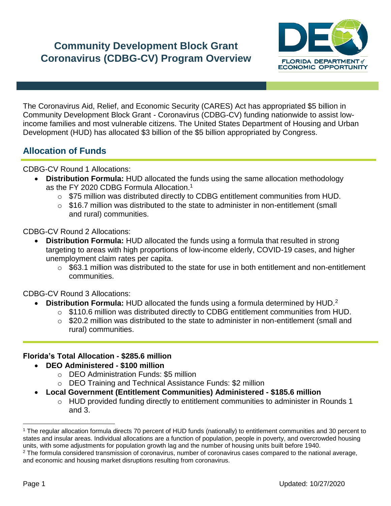# **Community Development Block Grant Coronavirus (CDBG-CV) Program Overview**



The Coronavirus Aid, Relief, and Economic Security (CARES) Act has appropriated \$5 billion in Community Development Block Grant - Coronavirus (CDBG-CV) funding nationwide to assist lowincome families and most vulnerable citizens. The United States Department of Housing and Urban Development (HUD) has allocated \$3 billion of the \$5 billion appropriated by Congress.

## **Allocation of Funds**

CDBG-CV Round 1 Allocations:

- **Distribution Formula:** HUD allocated the funds using the same allocation methodology as the FY 2020 CDBG Formula Allocation.<sup>1</sup>
	- $\circ$  \$75 million was distributed directly to CDBG entitlement communities from HUD.
	- $\circ$  \$16.7 million was distributed to the state to administer in non-entitlement (small and rural) communities.

CDBG-CV Round 2 Allocations:

- **Distribution Formula:** HUD allocated the funds using a formula that resulted in strong targeting to areas with high proportions of low-income elderly, COVID-19 cases, and higher unemployment claim rates per capita.
	- $\circ$  \$63.1 million was distributed to the state for use in both entitlement and non-entitlement communities.

CDBG-CV Round 3 Allocations:

- **Distribution Formula:** HUD allocated the funds using a formula determined by HUD.<sup>2</sup>
	- o \$110.6 million was distributed directly to CDBG entitlement communities from HUD.
	- o \$20.2 million was distributed to the state to administer in non-entitlement (small and rural) communities.

## **Florida's Total Allocation - \$285.6 million**

- **DEO Administered - \$100 million**
	- o DEO Administration Funds: \$5 million
	- o DEO Training and Technical Assistance Funds: \$2 million
- **Local Government (Entitlement Communities) Administered - \$185.6 million**
	- o HUD provided funding directly to entitlement communities to administer in Rounds 1 and 3.

 $\overline{\phantom{a}}$ 

<sup>1</sup> The regular allocation formula directs 70 percent of HUD funds (nationally) to entitlement communities and 30 percent to states and insular areas. Individual allocations are a function of population, people in poverty, and overcrowded housing units, with some adjustments for population growth lag and the number of housing units built before 1940. <sup>2</sup> The formula considered transmission of coronavirus, number of coronavirus cases compared to the national average,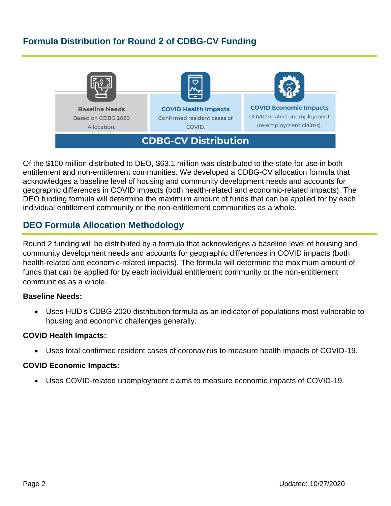## **Formula Distribution for Round 2 of CDBG-CV Funding**









**CDBG-CV Distribution** 



**COVID Economic Impacts** COVID related unemployment (re-employment claims).

Of the \$100 million distributed to DEO, \$63.1 million was distributed to the state for use in both entitlement and non-entitlement communities. We developed a CDBG-CV allocation formula that acknowledges a baseline level of housing and community development needs and accounts for geographic differences in COVID impacts (both health-related and economic-related impacts). The DEO funding formula will determine the maximum amount of funds that can be applied for by each individual entitlement community or the non-entitlement communities as a whole.

## **DEO Formula Allocation Methodology**

Round 2 funding will be distributed by a formula that acknowledges a baseline level of housing and community development needs and accounts for geographic differences in COVID impacts (both health-related and economic-related impacts). The formula will determine the maximum amount of funds that can be applied for by each individual entitlement community or the non-entitlement communities as a whole.

## **Baseline Needs:**

• Uses HUD's CDBG 2020 distribution formula as an indicator of populations most vulnerable to housing and economic challenges generally.

## **COVID Health Impacts:**

• Uses total confirmed resident cases of coronavirus to measure health impacts of COVID-19.

### **COVID Economic Impacts:**

• Uses COVID-related unemployment claims to measure economic impacts of COVID-19.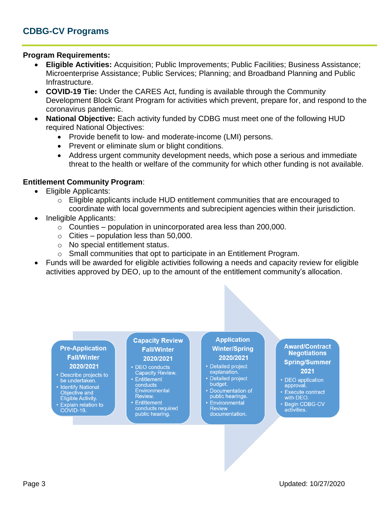### **Program Requirements:**

- **Eligible Activities:** Acquisition; Public Improvements; Public Facilities; Business Assistance; Microenterprise Assistance; Public Services; Planning; and Broadband Planning and Public Infrastructure.
- **COVID-19 Tie:** Under the CARES Act, funding is available through the Community Development Block Grant Program for activities which prevent, prepare for, and respond to the coronavirus pandemic.
- **National Objective:** Each activity funded by CDBG must meet one of the following HUD required National Objectives:
	- Provide benefit to low- and moderate-income (LMI) persons.
	- Prevent or eliminate slum or blight conditions.
	- Address urgent community development needs, which pose a serious and immediate threat to the health or welfare of the community for which other funding is not available.

### **Entitlement Community Program**:

- Eligible Applicants:
	- o Eligible applicants include HUD entitlement communities that are encouraged to coordinate with local governments and subrecipient agencies within their jurisdiction.
- Ineligible Applicants:
	- $\circ$  Counties population in unincorporated area less than 200,000.
	- $\circ$  Cities population less than 50,000.
	- o No special entitlement status.
	- o Small communities that opt to participate in an Entitlement Program.
- Funds will be awarded for eligible activities following a needs and capacity review for eligible activities approved by DEO, up to the amount of the entitlement community's allocation.

#### **Pre-Application Fall/Winter** 2020/2021

- Describe projects to be undertaken.
- Identify National Objective and
- Eligible Activity. Explain relation to
- COVID-19.

#### **Capacity Review Fall/Winter** 2020/2021

- DEO conducts **Capacity Review.** • Entitlement
- conducts Environmental Review.
- Entitlement conducts required public hearing.

### **Application Winter/Spring** 2020/2021

- Detailed project explanation.
- Detailed project budget.
- Documentation of public hearings.
- Environmental **Review** documentation.

#### **Award/Contract Negotiations Spring/Summer**

2021

- DEO application approval.
- Execute contract<br>with DEO.
- Begin CDBG-CV activities.